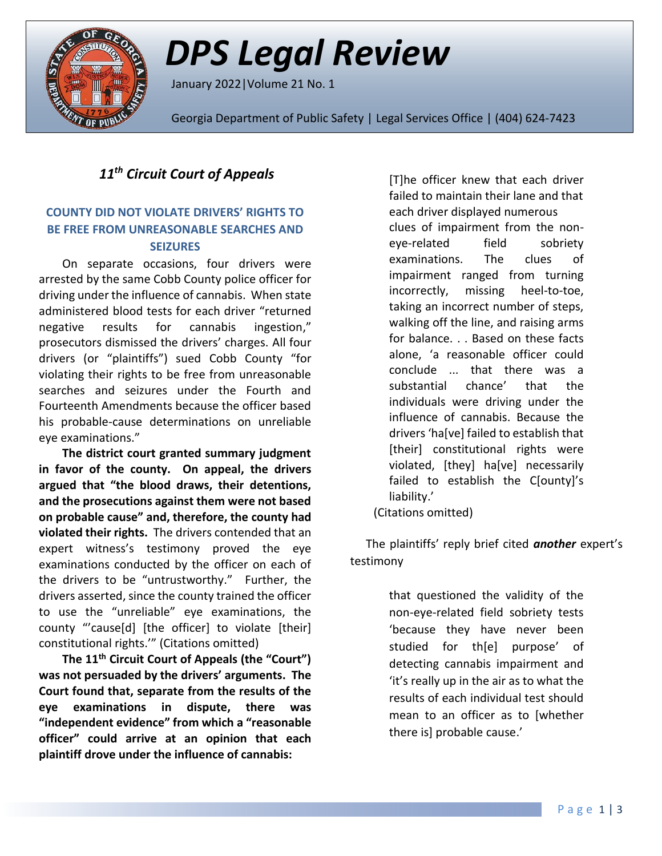

# *DPS Legal Review*

January 2022|Volume 21 No. 1

Georgia Department of Public Safety | Legal Services Office | (404) 624-7423

## *11th Circuit Court of Appeals*

### **COUNTY DID NOT VIOLATE DRIVERS' RIGHTS TO BE FREE FROM UNREASONABLE SEARCHES AND SEIZURES**

On separate occasions, four drivers were arrested by the same Cobb County police officer for driving under the influence of cannabis. When state administered blood tests for each driver "returned negative results for cannabis ingestion," prosecutors dismissed the drivers' charges. All four drivers (or "plaintiffs") sued Cobb County "for violating their rights to be free from unreasonable searches and seizures under the Fourth and Fourteenth Amendments because the officer based his probable-cause determinations on unreliable eye examinations."

**The district court granted summary judgment in favor of the county. On appeal, the drivers argued that "the blood draws, their detentions, and the prosecutions against them were not based on probable cause" and, therefore, the county had violated their rights.** The drivers contended that an expert witness's testimony proved the eye examinations conducted by the officer on each of the drivers to be "untrustworthy." Further, the drivers asserted, since the county trained the officer to use the "unreliable" eye examinations, the county "'cause[d] [the officer] to violate [their] constitutional rights.'" (Citations omitted)

**The 11th Circuit Court of Appeals (the "Court") was not persuaded by the drivers' arguments. The Court found that, separate from the results of the eye examinations in dispute, there was "independent evidence" from which a "reasonable officer" could arrive at an opinion that each plaintiff drove under the influence of cannabis:**

[T]he officer knew that each driver failed to maintain their lane and that each driver displayed numerous clues of impairment from the noneye-related field sobriety examinations. The clues of impairment ranged from turning incorrectly, missing heel-to-toe, taking an incorrect number of steps, walking off the line, and raising arms for balance. . . Based on these facts alone, 'a reasonable officer could conclude ... that there was a substantial chance' that the individuals were driving under the influence of cannabis. Because the drivers 'ha[ve] failed to establish that [their] constitutional rights were violated, [they] ha[ve] necessarily failed to establish the C[ounty]'s liability.'

(Citations omitted)

The plaintiffs' reply brief cited *another* expert's testimony

> that questioned the validity of the non-eye-related field sobriety tests 'because they have never been studied for th[e] purpose' of detecting cannabis impairment and 'it's really up in the air as to what the results of each individual test should mean to an officer as to [whether there is] probable cause.'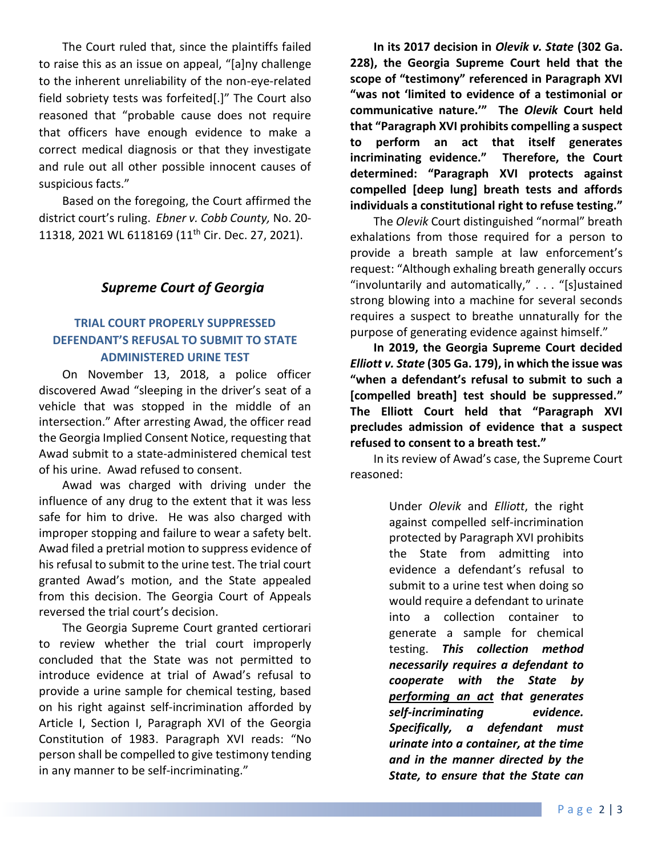The Court ruled that, since the plaintiffs failed to raise this as an issue on appeal, "[a]ny challenge to the inherent unreliability of the non-eye-related field sobriety tests was forfeited[.]" The Court also reasoned that "probable cause does not require that officers have enough evidence to make a correct medical diagnosis or that they investigate and rule out all other possible innocent causes of suspicious facts."

Based on the foregoing, the Court affirmed the district court's ruling. *Ebner v. Cobb County,* No. 20- 11318, 2021 WL 6118169 (11th Cir. Dec. 27, 2021).

## *Supreme Court of Georgia*

### **TRIAL COURT PROPERLY SUPPRESSED DEFENDANT'S REFUSAL TO SUBMIT TO STATE ADMINISTERED URINE TEST**

On November 13, 2018, a police officer discovered Awad "sleeping in the driver's seat of a vehicle that was stopped in the middle of an intersection." After arresting Awad, the officer read the Georgia Implied Consent Notice, requesting that Awad submit to a state-administered chemical test of his urine. Awad refused to consent.

Awad was charged with driving under the influence of any drug to the extent that it was less safe for him to drive. He was also charged with improper stopping and failure to wear a safety belt. Awad filed a pretrial motion to suppress evidence of his refusal to submit to the urine test. The trial court granted Awad's motion, and the State appealed from this decision. The Georgia Court of Appeals reversed the trial court's decision.

The Georgia Supreme Court granted certiorari to review whether the trial court improperly concluded that the State was not permitted to introduce evidence at trial of Awad's refusal to provide a urine sample for chemical testing, based on his right against self-incrimination afforded by Article I, Section I, Paragraph XVI of the Georgia Constitution of 1983. Paragraph XVI reads: "No person shall be compelled to give testimony tending in any manner to be self-incriminating."

**In its 2017 decision in** *Olevik v. State* **(302 Ga. 228), the Georgia Supreme Court held that the scope of "testimony" referenced in Paragraph XVI "was not 'limited to evidence of a testimonial or communicative nature.'" The** *Olevik* **Court held that "[Paragraph XVI](http://www.westlaw.com/Link/Document/FullText?findType=L&pubNum=1000469&cite=GACNART1S1PXVI&originatingDoc=I1d9e3600793811eca4c4bfe9a1626bce&refType=LQ&originationContext=document&vr=3.0&rs=cblt1.0&transitionType=DocumentItem&contextData=(sc.Keycite)) prohibits compelling a suspect to perform an act that itself generates incriminating evidence." Therefore, the Court determined: "[Paragraph XVI](http://www.westlaw.com/Link/Document/FullText?findType=L&pubNum=1000469&cite=GACNART1S1PXVI&originatingDoc=I1d9e3600793811eca4c4bfe9a1626bce&refType=LQ&originationContext=document&vr=3.0&rs=cblt1.0&transitionType=DocumentItem&contextData=(sc.Keycite)) protects against compelled [deep lung] breath tests and affords individuals a constitutional right to refuse testing."**

The *Olevik* Court distinguished "normal" breath exhalations from those required for a person to provide a breath sample at law enforcement's request: "Although exhaling breath generally occurs "involuntarily and automatically," . . . "[s]ustained strong blowing into a machine for several seconds requires a suspect to breathe unnaturally for the purpose of generating evidence against himself."

**In 2019, the Georgia Supreme Court decided** *Elliott v. State* **(305 Ga. 179), in which the issue was "when a defendant's refusal to submit to such a [compelled breath] test should be suppressed." The Elliott Court held that "[Paragraph XVI](http://www.westlaw.com/Link/Document/FullText?findType=L&pubNum=1000469&cite=GACNART1S1PXVI&originatingDoc=I1d9e3600793811eca4c4bfe9a1626bce&refType=LQ&originationContext=document&vr=3.0&rs=cblt1.0&transitionType=DocumentItem&contextData=(sc.Keycite)) precludes admission of evidence that a suspect refused to consent to a breath test."**

In its review of Awad's case, the Supreme Court reasoned:

> Under *[Olevik](http://www.westlaw.com/Link/Document/FullText?findType=Y&serNum=2042886394&pubNum=0000711&originatingDoc=I1d9e3600793811eca4c4bfe9a1626bce&refType=RP&originationContext=document&vr=3.0&rs=cblt1.0&transitionType=DocumentItem&contextData=(sc.Keycite))* and *[Elliott](http://www.westlaw.com/Link/Document/FullText?findType=Y&serNum=2047557297&pubNum=0000711&originatingDoc=I1d9e3600793811eca4c4bfe9a1626bce&refType=RP&originationContext=document&vr=3.0&rs=cblt1.0&transitionType=DocumentItem&contextData=(sc.Keycite))*, the right against compelled self-incrimination protected by [Paragraph XVI](http://www.westlaw.com/Link/Document/FullText?findType=L&pubNum=1000469&cite=GACNART1S1PXVI&originatingDoc=I1d9e3600793811eca4c4bfe9a1626bce&refType=LQ&originationContext=document&vr=3.0&rs=cblt1.0&transitionType=DocumentItem&contextData=(sc.Keycite)) prohibits the State from admitting into evidence a defendant's refusal to submit to a urine test when doing so would require a defendant to urinate into a collection container to generate a sample for chemical testing. *This collection method necessarily requires a defendant to cooperate with the State by performing an act that generates self-incriminating evidence. Specifically, a defendant must urinate into a container, at the time and in the manner directed by the State, to ensure that the State can*